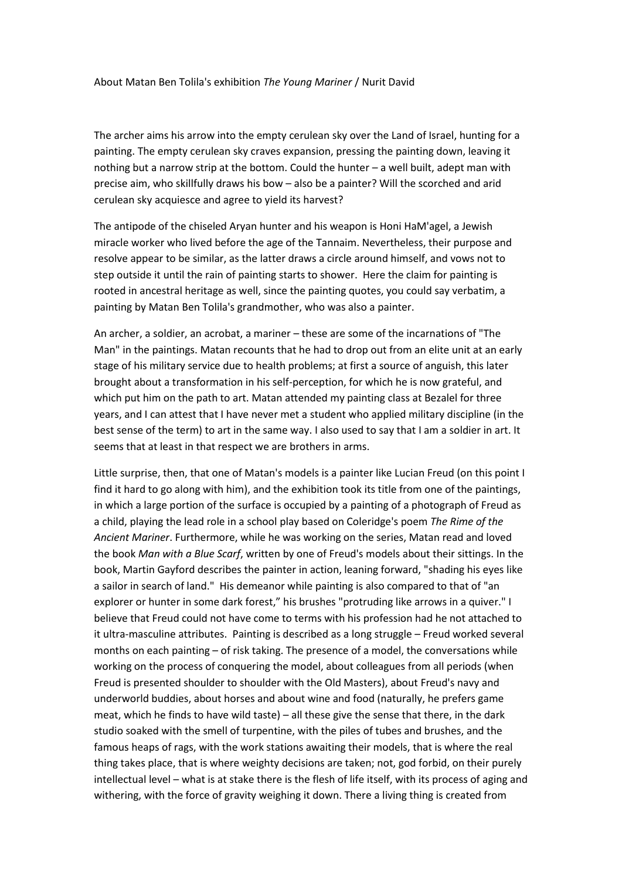## About Matan Ben Tolila's exhibition *The Young Mariner* / Nurit David

The archer aims his arrow into the empty cerulean sky over the Land of Israel, hunting for a painting. The empty cerulean sky craves expansion, pressing the painting down, leaving it nothing but a narrow strip at the bottom. Could the hunter – a well built, adept man with precise aim, who skillfully draws his bow – also be a painter? Will the scorched and arid cerulean sky acquiesce and agree to yield its harvest?

The antipode of the chiseled Aryan hunter and his weapon is Honi HaM'agel, a Jewish miracle worker who lived before the age of the Tannaim. Nevertheless, their purpose and resolve appear to be similar, as the latter draws a circle around himself, and vows not to step outside it until the rain of painting starts to shower. Here the claim for painting is rooted in ancestral heritage as well, since the painting quotes, you could say verbatim, a painting by Matan Ben Tolila's grandmother, who was also a painter.

An archer, a soldier, an acrobat, a mariner – these are some of the incarnations of "The Man" in the paintings. Matan recounts that he had to drop out from an elite unit at an early stage of his military service due to health problems; at first a source of anguish, this later brought about a transformation in his self-perception, for which he is now grateful, and which put him on the path to art. Matan attended my painting class at Bezalel for three years, and I can attest that I have never met a student who applied military discipline (in the best sense of the term) to art in the same way. I also used to say that I am a soldier in art. It seems that at least in that respect we are brothers in arms.

Little surprise, then, that one of Matan's models is a painter like Lucian Freud (on this point I find it hard to go along with him), and the exhibition took its title from one of the paintings, in which a large portion of the surface is occupied by a painting of a photograph of Freud as a child, playing the lead role in a school play based on Coleridge's poem *The Rime of the Ancient Mariner*. Furthermore, while he was working on the series, Matan read and loved the book *Man with a Blue Scarf*, written by one of Freud's models about their sittings. In the book, Martin Gayford describes the painter in action, leaning forward, "shading his eyes like a sailor in search of land." His demeanor while painting is also compared to that of "an explorer or hunter in some dark forest," his brushes "protruding like arrows in a quiver." I believe that Freud could not have come to terms with his profession had he not attached to it ultra-masculine attributes. Painting is described as a long struggle – Freud worked several months on each painting – of risk taking. The presence of a model, the conversations while working on the process of conquering the model, about colleagues from all periods (when Freud is presented shoulder to shoulder with the Old Masters), about Freud's navy and underworld buddies, about horses and about wine and food (naturally, he prefers game meat, which he finds to have wild taste) – all these give the sense that there, in the dark studio soaked with the smell of turpentine, with the piles of tubes and brushes, and the famous heaps of rags, with the work stations awaiting their models, that is where the real thing takes place, that is where weighty decisions are taken; not, god forbid, on their purely intellectual level – what is at stake there is the flesh of life itself, with its process of aging and withering, with the force of gravity weighing it down. There a living thing is created from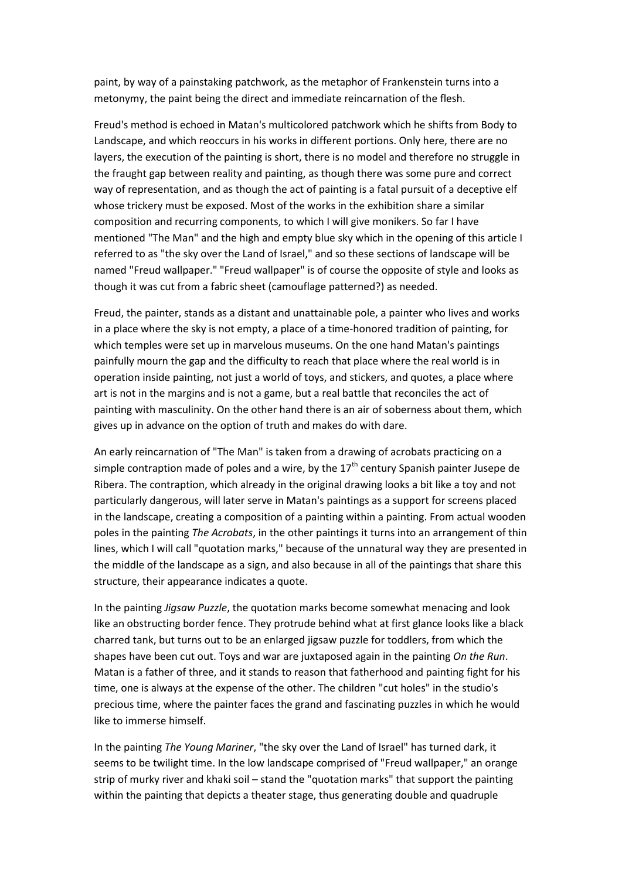paint, by way of a painstaking patchwork, as the metaphor of Frankenstein turns into a metonymy, the paint being the direct and immediate reincarnation of the flesh.

Freud's method is echoed in Matan's multicolored patchwork which he shifts from Body to Landscape, and which reoccurs in his works in different portions. Only here, there are no layers, the execution of the painting is short, there is no model and therefore no struggle in the fraught gap between reality and painting, as though there was some pure and correct way of representation, and as though the act of painting is a fatal pursuit of a deceptive elf whose trickery must be exposed. Most of the works in the exhibition share a similar composition and recurring components, to which I will give monikers. So far I have mentioned "The Man" and the high and empty blue sky which in the opening of this article I referred to as "the sky over the Land of Israel," and so these sections of landscape will be named "Freud wallpaper." "Freud wallpaper" is of course the opposite of style and looks as though it was cut from a fabric sheet (camouflage patterned?) as needed.

Freud, the painter, stands as a distant and unattainable pole, a painter who lives and works in a place where the sky is not empty, a place of a time-honored tradition of painting, for which temples were set up in marvelous museums. On the one hand Matan's paintings painfully mourn the gap and the difficulty to reach that place where the real world is in operation inside painting, not just a world of toys, and stickers, and quotes, a place where art is not in the margins and is not a game, but a real battle that reconciles the act of painting with masculinity. On the other hand there is an air of soberness about them, which gives up in advance on the option of truth and makes do with dare.

An early reincarnation of "The Man" is taken from a drawing of acrobats practicing on a simple contraption made of poles and a wire, by the  $17<sup>th</sup>$  century Spanish painter Jusepe de Ribera. The contraption, which already in the original drawing looks a bit like a toy and not particularly dangerous, will later serve in Matan's paintings as a support for screens placed in the landscape, creating a composition of a painting within a painting. From actual wooden poles in the painting *The Acrobats*, in the other paintings it turns into an arrangement of thin lines, which I will call "quotation marks," because of the unnatural way they are presented in the middle of the landscape as a sign, and also because in all of the paintings that share this structure, their appearance indicates a quote.

In the painting *Jigsaw Puzzle*, the quotation marks become somewhat menacing and look like an obstructing border fence. They protrude behind what at first glance looks like a black charred tank, but turns out to be an enlarged jigsaw puzzle for toddlers, from which the shapes have been cut out. Toys and war are juxtaposed again in the painting *On the Run*. Matan is a father of three, and it stands to reason that fatherhood and painting fight for his time, one is always at the expense of the other. The children "cut holes" in the studio's precious time, where the painter faces the grand and fascinating puzzles in which he would like to immerse himself.

In the painting *The Young Mariner*, "the sky over the Land of Israel" has turned dark, it seems to be twilight time. In the low landscape comprised of "Freud wallpaper," an orange strip of murky river and khaki soil – stand the "quotation marks" that support the painting within the painting that depicts a theater stage, thus generating double and quadruple